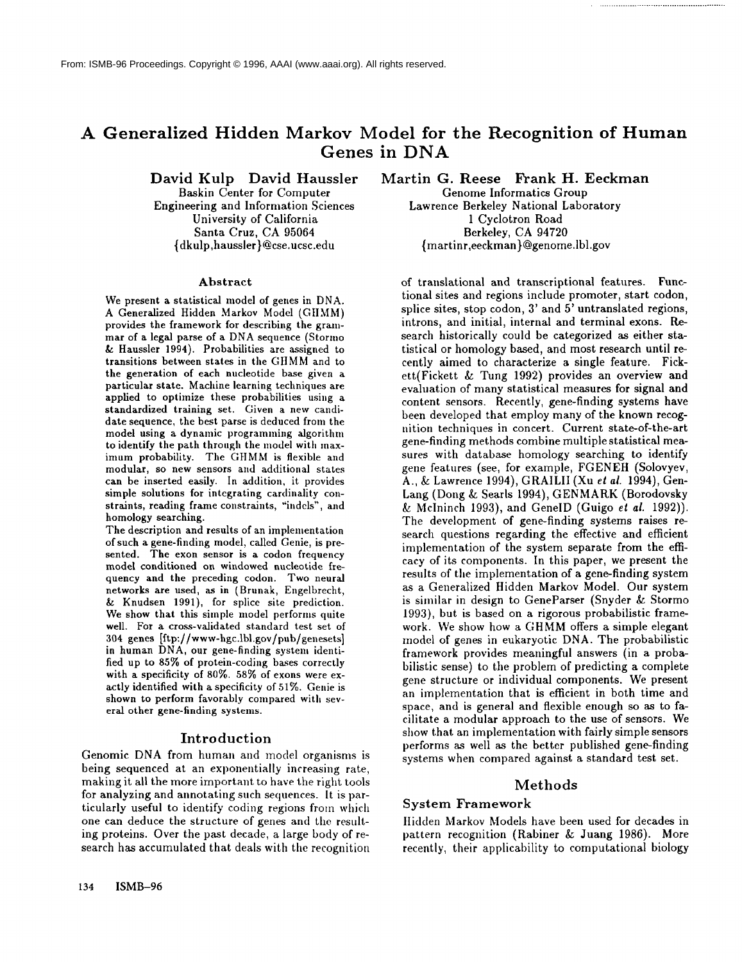# **A Generalized Hidden Markov Model for the Recognition of Human Genes in DNA**

David Kulp David Haussler

Baskin Center for Computer Engineering and Information Sciences University of California Santa Cruz, CA 95064 {dkulp,haussler}@cse.ucsc.edu

#### Abstract

We present a statistical model of genes in DNA. A Generalized Hidden Markov Model (GtlMM) provides the framework for describing the grammar of a legal parse of a DNA sequence (Stormo & Haussler 1994). Probabilities are assigned to transitions between states in the GHMM and to the generation of each nucleotide base given a particular state. Machine learning techniques are applied to optimize these probabilities using a standardized training set. Given a new candidate sequence, the best parse is deduced from the model using a dynamic programming algorithm to identify the path through the model with maximum probability. The GHMM is flexible and modular, so new sensors and additional states **can** be inserted easily. In addition, it provides simple solutions for integrating cardinality constraints, reading frame constraints, "indels', and homology searching.

The description and results of an implementation of such a gene-finding model, called Genie, is presented. The exon sensor is a codon frequency model conditioned on windowed nucleotide frequency and the preceding eodon. Two neural networks are used, as in (Brunak, Engelbrecht, & Knudsen 1991), for splice site prediction. We show that this simple model performs quite well. For a cross-validated standard test set of 304 genes [ftp://www-hgc.lbl.gov/pub/genesets] in human DNA, our gene-finding system identified up to 85% of protein-coding bases correctly with a specificity of 80%. 58% of exons were exactly identified with a specificity of 51%. Genie is shown to perform favorably compared with several other gene-finding systems.

#### Introduction

Genomic DNA from human and model organisms is being sequenced at an exponentially increasing rate, making it all the more important to have the right tools for analyzing and annotating such sequences. It is particularly useful to identify coding regions from which one can deduce the structure of genes and the resulting proteins. Over the past decade, a large body of research has accumulated that deals with the recognition

Martin G. Reese Frank **H. Eeckman**

Genome Informatics Group Lawrence Berkeley National Laboratory 1 Cyclotron Road Berkeley, CA 94720 { marti nr,eeck man ) @genome. ibl .gov

of translational and transcriptional features. Functional sites and regions include promoter, start codon, splice sites, stop codon, 3' and 5' untranslated regions, introns, and initial, internal and terminal exons. Research historically could be categorized as either statistical or homology based, and most research until recently aimed to characterize a single feature. Fickett(Fickett & Tung 1992) provides an overview and evaluation of many statistical measures for signal and content sensors. Recently, gene-finding systems have been developed that employ many of the known recognition techniques in concert. Current state-of-the-art gene-finding methods combine multiple statistical measures with database homology searching to identify gene features (see, for example, FGENEH (Solovyev, A., & Lawrence 1994), GRAILII (Xu *et al.* 1994), Gen-Lang (Dong & Searls 1994), GENMARK (Borodovsky & Mclninch 1993), and GenelD (Guigo *et al.* 1992)). The development of gene-finding systems raises research questions regarding the effective and efficient implementation of the system separate from the efficacy of its components. In this paper, we present the results of the implementation of a gene-finding system as a Generalized Hidden Markov Model. Our system is similar in design to GeneParser (Snyder & Stormo 1993), but is based on a rigorous probabilistic framework. We show how a GHMM offers a simple elegant model of genes in eukaryotic DNA. The probabilistic framework provides meaningfid answers (in a probabilistic sense) to the problem of predicting a complete gene structure or individual components. We present an implementation that is efficient in both time and space, and is general and flexible enough so as to facilitate a modular approach to the use of sensors. We show that an implementation with fairly simple sensors performs as well as the better published gene-finding systems when compared against a standard test set.

#### Methods

#### System Framework

llidden Markov Models have been used for decades in pattern recognition (Rabiner & Juang 1986). More recently, their applicability to computational biology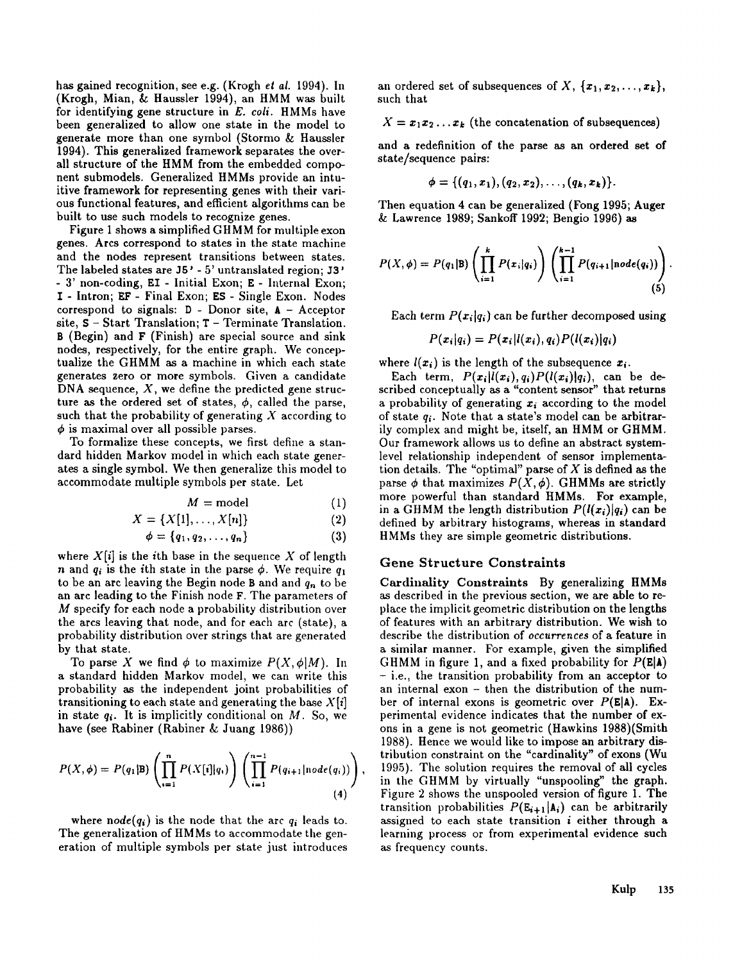has gained recognition, see e.g. (Krogh *et al.* 1994). In (Krogh, Mian, & Haussler 1994), an HMM was built for identifying gene structure in *E. coli.* HMMs have been generalized to allow one state in the model to generate more than one symbol (Stormo & Haussler 1994). This generalized framework separates the overall structure of the HMM from the embedded component submodels. Generalized HMMs provide an intuitive framework for representing genes with their various functional features, and efficient algorithms can be built to use such models to recognize genes.

Figure 1 shows a simplified GHMM for multiple exon genes. Arcs correspond to states in the state machine and the nodes represent transitions between states. The labeled states are  $J5'$  -  $5'$  untranslated region;  $J3'$ - 3' non-coding, EI - Initial Exon; E - Internal Exon; I - Intron; EF- Final Exon; ES - Single Exon. Nodes correspond to signals:  $D - Donor$  site,  $A - Acceptor$ site, S - Start Translation; T - Terminate Translation. **B** (Begin) and **F** (Finish) are special source and sink nodes, respectively, for the entire graph. We conceptualize the GHMM asa machine in which each state generates zero or more symbols. Given a candidate DNA sequence,  $X$ , we define the predicted gene structure as the ordered set of states,  $\phi$ , called the parse, such that the probability of generating  $X$  according to  $\phi$  is maximal over all possible parses.

To formalize these concepts, we first define a standard hidden Markov model in which each state generates a single symbol. We then generalize this model to accommodate multiple symbols per state. Let

$$
M = \text{model} \tag{1}
$$

 $X = \{X[1], \ldots, X[n]\}$  (2)

$$
\phi = \{q_1, q_2, \ldots, q_n\} \tag{3}
$$

where  $X[i]$  is the *i*th base in the sequence X of length *n* and  $q_i$  is the ith state in the parse  $\phi$ . We require  $q_1$ to be an arc leaving the Begin node B and and  $q_n$  to be an arc leading to the Finish node F. The parameters of M specify for each node a probability distribution over the arcs leaving that node, and for each arc (state), probability distribution over strings that are generated by that state.

To parse X we find  $\phi$  to maximize  $P(X, \phi|M)$ . In a standard hidden Markov model, we can write this probability as the independent joint probabilities of transitioning to each state and generating the base  $X[i]$ in state  $q_i$ . It is implicitly conditional on M. So, we have (see Rabiner (Rabiner & Juang 1986))

$$
P(X, \phi) = P(q_1 | B) \left( \prod_{i=1}^n P(X[i]|q_i) \right) \left( \prod_{i=1}^{n-1} P(q_{i+1} | node(q_i)) \right), \tag{4}
$$

where  $node(q_i)$  is the node that the arc  $q_i$  leads to. The generalization of HMMs to accommodate the generation of multiple symbols per state just introduces an ordered set of subsequences of X,  $\{x_1, x_2, \ldots, x_k\}$ , such that

 $X = x_1x_2...x_k$  (the concatenation of subsequences)

and a redefinition of the parse as an ordered set of state/sequence pairs:

$$
\phi = \{(q_1, x_1), (q_2, x_2), \ldots, (q_k, x_k)\}.
$$

Then equation 4 can be generalized (Fong 1995; Auger & Lawrence 1989; Sankoff 1992; Bengio 1996) **as**

$$
P(X,\phi) = P(q_1|\mathbf{B}) \left( \prod_{i=1}^k P(x_i|q_i) \right) \left( \prod_{i=1}^{k-1} P(q_{i+1}|\mathbf{n}ode(q_i)) \right).
$$
\n(5)

Each term  $P(x_i|q_i)$  can be further decomposed using

$$
P(x_i|q_i) = P(x_i|l(x_i), q_i)P(l(x_i)|q_i)
$$

where  $l(x_i)$  is the length of the subsequence  $x_i$ .

Each term,  $P(x_i|l(x_i), q_i)P(l(x_i)|q_i)$ , can be described conceptually as a "content sensor" that returns a probability of generating  $x_i$  according to the model of state *qi.* Note that a state's model can be arbitrarily complex and might be, itself, an HMM or GHMM. Our framework allows us to define an abstract systemlevel relationship independent of sensor implementation details. The "optimal" parse of  $X$  is defined as the parse  $\phi$  that maximizes  $P(X, \phi)$ . GHMMs are strictly more powerful than standard HMMs. For example, in a GHMM the length distribution  $P(I(x_i)|q_i)$  can be defined by arbitrary histograms, whereas in standard HMMs they are simple geometric distributions.

#### **Gene Structure Constraints**

Cardinality Constraints By generalizing HMMs as described in the previous section, we are able to replace the implicit geometric distribution on the lengths of features with an arbitrary distribution. We wish to describe the distribution of *occurrences* of a feature in a similar manner. For example, given the simplified GHMM in figure 1, and a fixed probability for  $P(E|A)$ - i.e., the transition probability from an acceptor to an internal exon - then the distribution of the number of internal exons is geometric over  $P(E|A)$ . Experimental evidence indicates that the number of exons in a gene is not geometric (Hawkins 1988)(Smith 1988). Hence we would like to impose an arbitrary distribution constraint on the "cardinality" of exons (Wu 1995). The solution requires the removal of all cycles in the GHMM by virtually "unspooling" the graph. Figure 2 shows the unspooled version of figure 1. The transition probabilities  $P(E_{i+1}|\mathbf{A}_i)$  can be arbitrarily assigned to each state transition  $i$  either through a learning process or from experimental evidence such as frequency counts.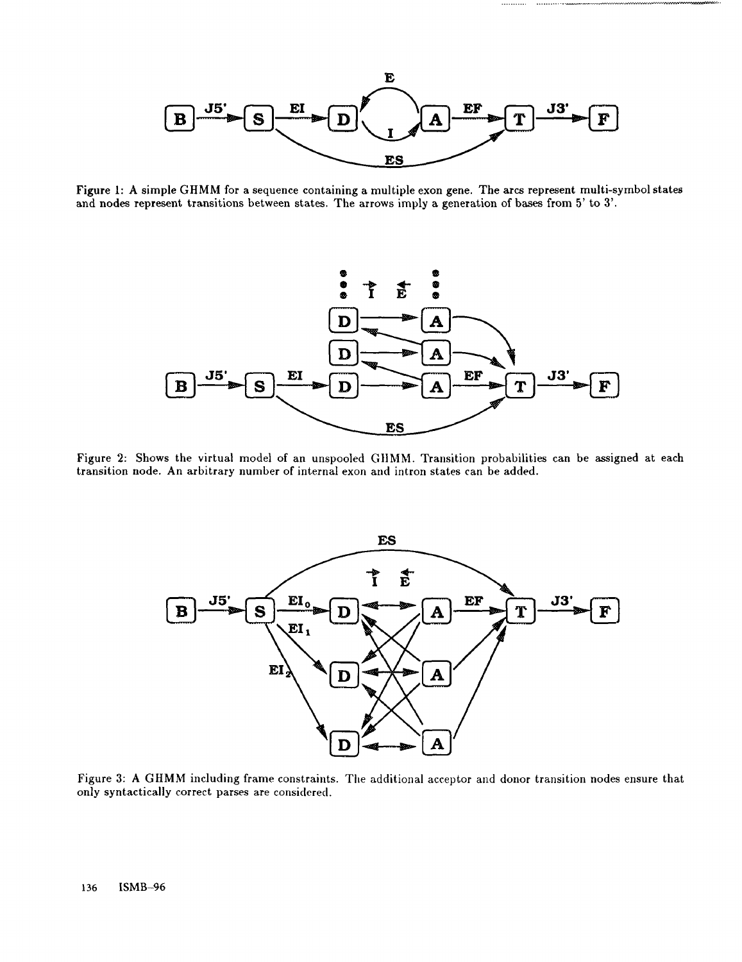

. . . . . . . . . . .

Figure 1: A simple GHMM for a sequence containing a multiple exon gene. The arcs represent multi-symbol states and nodes represent transitions between states. The arrows imply a generation of bases from 5' to 3'.



Figure 2: Shows the virtual model of an unspooled GIIMM. Transition probabilities can be assigned at each transition node. An arbitrary number of internal exon and intron states can be added.



Figure 3: A GHMM including frame constraints. The additional acceptor and donor transition nodes ensure that only syntactically correct parses are considcred.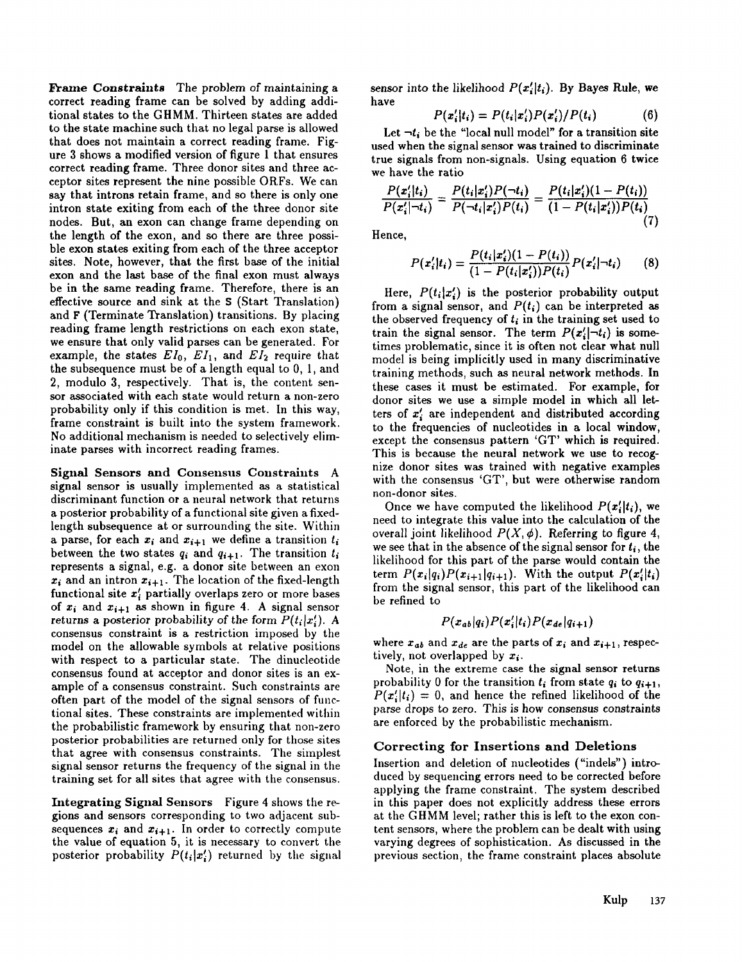Frame Constraints The problem of maintaining a correct reading frame can be solved by adding additional states to the GHMM. Thirteen states are added to the state machine such that no legal parse is allowed that does not maintain a correct reading frame. Figure 3 shows a modified version of figure 1 that ensures correct reading frame. Three donor sites and three acceptor sites represent the nine possible ORFs. We can say that introns retain frame, and so there is only one intron state exiting from each of the three donor site nodes. But, an exon can change frame depending on the length of the exon, and so there are three possible exon states exiting from each of the three acceptor sites. Note, however, that the first base of the initial exon and the last base of the final exon must always be in the same reading frame. Therefore, there is an effective source and sink at the S (Start Translation) and F (Terminate Translation) transitions. By placing reading frame length restrictions on each exon state, we ensure that only valid parses can be generated. For example, the states  $EI_0$ ,  $EI_1$ , and  $EI_2$  require that the subsequence must be of a length equal to 0, 1, and 2, modulo 3, respectively. That is, the content sensor associated with each state would return a non-zero probability only if this condition is met. In this way, frame constraint is built into the system framework. No additional mechanism is needed to selectively eliminate parses with incorrect reading frames.

Signal Sensors and Consensus Constraints A signal sensor is usually implemented as a statistical discriminant function or a neural network that returns a posterior probability of a functional site given a fixedlength subsequence at or surrounding the site. Within a parse, for each  $x_i$  and  $x_{i+1}$  we define a transition  $t_i$ between the two states  $q_i$  and  $q_{i+1}$ . The transition  $t_i$ represents a signal, e.g. a donor site between an exon  $x_i$  and an intron  $x_{i+1}$ . The location of the fixed-length functional site  $x_i$  partially overlaps zero or more bases of  $x_i$  and  $x_{i+1}$  as shown in figure 4. A signal sensor returns a posterior probability of the form  $P(t_i|x_i')$ . A consensus constraint is a restriction imposed by the model on the allowable symbols at relative positions with respect to a particular state. The dinucleotide consensus found at acceptor and donor sites is an example of a consensus constraint. Such constraints are often part of the model of the signal sensors of functional sites. These constraints are implemented within the probabilistic framework by ensuring that non-zero posterior probabilities are returned only for those sites that agree with consensus constraints. The simplest signal sensor returns the frequency of the signal in the training set for all sites that agree with the consensus.

Integrating Signal Sensors Figure 4 shows the regions and sensors corresponding to two adjacent subsequences  $x_i$  and  $x_{i+1}$ . In order to correctly compute the value of equation 5, it is necessary to convert the posterior probability  $P(t_i|x_i')$  returned by the signal sensor into the likelihood  $P(x_i'|t_i)$ . By Bayes Rule, we have

$$
P(x_i'|t_i) = P(t_i|x_i')P(x_i')/P(t_i)
$$
 (6)

Let  $\neg t_i$  be the "local null model" for a transition site used when the signal sensor was trained to discriminate true signals from non-signals. Using equation 6 twice we have the ratio

$$
\frac{P(x_i'|t_i)}{P(x_i'|\neg t_i)} = \frac{P(t_i|x_i')P(\neg t_i)}{P(\neg t_i|x_i')P(t_i)} = \frac{P(t_i|x_i')(1-P(t_i))}{(1-P(t_i|x_i'))P(t_i)}
$$
(7)

Hence,

$$
P(x_i'|t_i) = \frac{P(t_i|x_i')(1 - P(t_i))}{(1 - P(t_i|x_i'))P(t_i)}P(x_i'|^{-t_i})
$$
 (8)

Here,  $P(t_i|x_i)$  is the posterior probability output from a signal sensor, and  $P(t_i)$  can be interpreted as the observed frequency of  $t_i$  in the training set used to train the signal sensor. The term  $P(x_i'|\neg t_i)$  is sometimes problematic, since it is often not clear what null model is being implicitly used in many discriminative training methods, such as neural network methods. In these cases it must be estimated. For example, for donor sites we use a simple model in which all letters of  $x_i'$  are independent and distributed according to the frequencies of nucleotides in a local window, except the consensus pattern 'GT' which is required. This is because the neural network we use to recognize donor sites was trained with negative examples with the consensus 'GT', but were otherwise random non-donor sites.

Once we have computed the likelihood  $P(x_i'|t_i)$ , we need to integrate this value into the calculation of the overall joint likelihood  $P(X, \phi)$ . Referring to figure 4, we see that in the absence of the signal sensor for  $t_i$ , the likelihood for this part of the parse would contain the term  $P(x_i|q_i)P(x_{i+1}|q_{i+1})$ . With the output  $P(x_i'|t_i)$ from the signal sensor, this part of the likelihood can be refined to

$$
P(x_{ab}|q_i)P(x_i'|t_i)P(x_{de}|q_{i+1})
$$

where  $x_{ab}$  and  $x_{de}$  are the parts of  $x_i$  and  $x_{i+1}$ , respectively, not overlapped by  $x_i$ .

Note, in the extreme case the signal sensor returns probability 0 for the transition *ti* from state *qi* to *qi+l,*  $P(x_i'|t_i) = 0$ , and hence the refined likelihood of the parse drops to zero. This is how consensus constraints are enforced by the probabilistic mechanism.

## Correcting for Insertions and Deletions

Insertion and deletion of nucleotides ("indels") introduced by sequencing errors need to be corrected before applying the frame constraint. The system described in this paper does not explicitly address these errors at the GHMM level; rather this is left to the exon content sensors, where the problem can be dealt with using varying degrees of sophistication. As discussed in the previous section, the frame constraint places absolute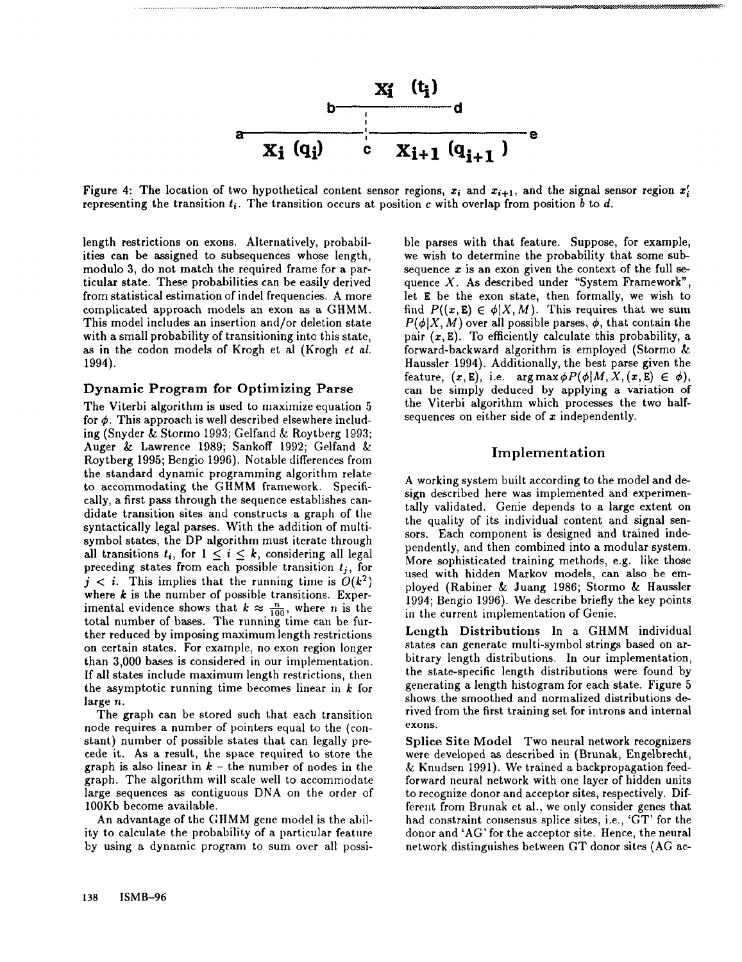

Figure 4: The location of two hypothetical content sensor regions,  $x_i$  and  $x_{i+1}$ , and the signal sensor region  $x_i'$ representing the transition  $t_i$ . The transition occurs at position c with overlap from position b to d.

length restrictions on exons. Alternatively, probabilities can be assigned to subsequences whose length, modulo 3, do not match the required frame for a particular state. These probabilities can be easily derived from statistical estimation of indel frequencies. A more complicated approach models an exon as a GHMM. This model includes an insertion and/or deletion state with a small probability of transitioning into this state, as in the codon models of Krogh et al (Krogh *et al.* 1994).

............................................................... ~ ........

## Dynamic Program for Optimizing Parse

The Viterbi algorithm is used to maximize equation 5 for  $\phi$ . This approach is well described elsewhere including (Snyder  $&$  Stormo 1993; Gelfand  $&$  Roytberg 1993; Auger & Lawrence 1989; Sankoff 1992; Gelfand & Roytberg 1995; Bengio 1996). Notable differences from the standard dynamic programming algorithm relate to accommodating the GHMM framework. Specifically, a first pass through the sequence establishes candidate transition sites and constructs a graph of the syntactically legal parses. With the addition of multisymbol states, the DP algorithm must iterate through all transitions  $t_i$ , for  $1 \leq i \leq k$ , considering all legal preceding states from each possible transition  $t_j$ , for  $j < i$ . This implies that the running time is  $O(k^2)$ where  $k$  is the number of possible transitions. Experimental evidence shows that  $k \approx \frac{n}{100}$ , where *n* is the total number of bases. The running time can be further reduced by imposing maximum length restrictions on certain states. For example, no exon region longer than 3,000 bases is considered in our implementation. If all states include maximum length restrictions, then the asymptotic running time becomes linear in  $k$  for large n.

The graph can be stored such that each transition node requires a number of pointers equal to the (constant) number of possible states that can legally precede it. As a result, the space required to store the graph is also linear in  $k$  – the number of nodes in the graph. The algorithm will scale well to accommodate large sequences as contiguous DNA on the order of 100Kb become available.

An advantage of the GHMM gene model is the ability to calculate the probability of a particular feature by using a dynamic program to sum over all possi-

ble parses with that feature. Suppose, for example, we wish to determine the probability that some subsequence  $x$  is an exon given the context of the full sequence X. As described under "System Framework", let E be the exon state, then formally, we wish to find  $P((x, E) \in \phi | X, M)$ . This requires that we sum  $P(\phi|X, M)$  over all possible parses,  $\phi$ , that contain the pair  $(x, E)$ . To efficiently calculate this probability, a forward-backward algorithm is employed (Stormo Haussler 1994). Additionally, the best parse given the feature,  $(x, E)$ , i.e.  $arg max \phi P(\phi|M, X, (x, E) \in \phi)$ , can be simply deduced by applying a variation of the Viterbi algorithm which processes the two halfsequences on either side of  $x$  independently.

...~.............................-.-.-.-.-.-.-,-:,- ................................................................................................

*:::. ...... -.* ..::.

## Implementation

A working system built according to the model and design described here was implemented and experimentally validated. Genie depends to a large extent on the quality of its individual content and signal sensors. Each component is designed and trained independently, and then combined into a modular system. More sophisticated training methods, e.g. like those used with hidden Markov models, can also be employed (Rabiner & Juang 1986; Stormo & Haussler 1994; Bengio 1996). We describe briefly the key points in the current implementation of Genie.

Length Distributions In a GHMM individual states can generate multi-symbol strings based on arbitrary length distributions. In our implementation, the state-specific length distributions were found by generating a length histogram for each state. Figure 5 shows the smoothed and normalized distributions derived from the first training set for introns and internal exons.

Splice Site Model Two neural network recognizers were developed as described in (Brunak, Engelbrecht,  $\&$  Knudsen 1991). We trained a backpropagation feedforward neural network with one layer of hidden units to recognize donor and acceptor sites, respectively. Different from Brunak et al., we only consider genes that had constraint consensus splice sites, i.e., 'GT' for the donor and 'AG' for the acceptor site. Hence, the neural network distinguishes between GT donor sites (AG ac-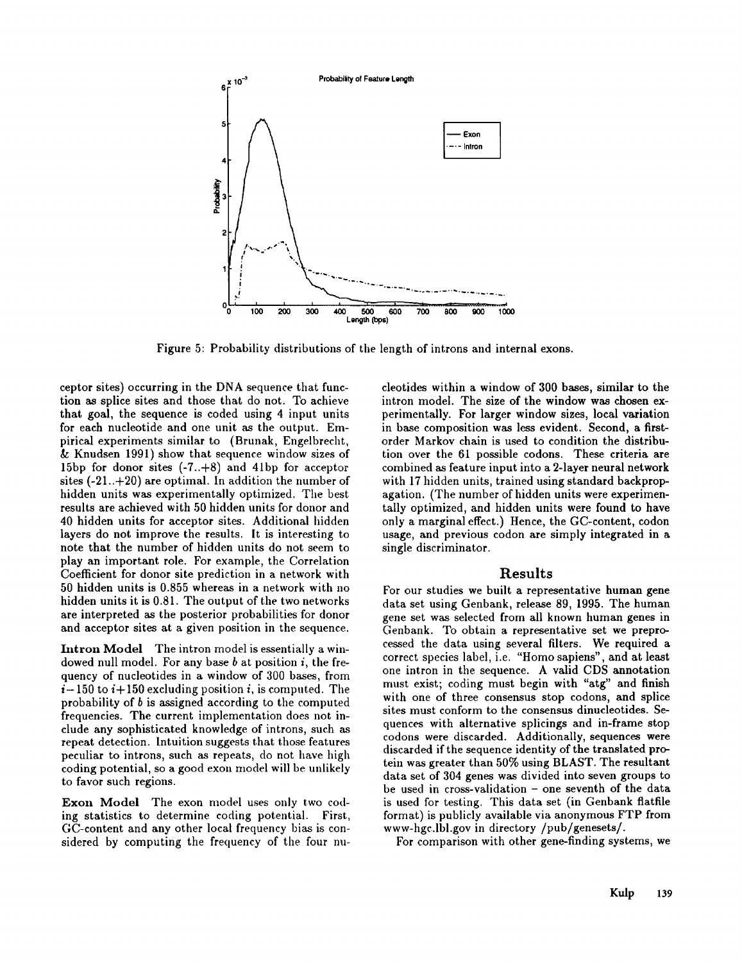

Figure 5: Probability distributions of the length of introns and internal exons.

ceptor sites) occurring in the DNA sequence that function as splice sites and those that do not. To achieve that goal, the sequence is coded using 4 input units for each nucleotide and one unit as the output. Empirical experiments similar to (Brunak, Engelbrecht, & Knudsen 1991) show that sequence window sizes of 15bp for donor sites (-7..+8) and 41bp for acceptor sites  $(-21..+20)$  are optimal. In addition the number of hidden units was experimentally optimized. The best results are achieved with 50 hidden units for donor and 40 hidden units for acceptor sites. Additional hidden layers do not improve the results. It is interesting to note that the number of hidden units do not seem to play an important role. For example, the Correlation Coefficient for donor site prediction in a network with 50 hidden units is 0.855 whereas in a network with no hidden units it is 0.81. The output of the two networks are interpreted as the posterior probabilities for donor and acceptor sites at a given position in the sequence.

Intron Model The intron model is essentially a windowed null model. For any base  $b$  at position  $i$ , the frequency of nucleotides in a window of 300 bases, from  $i-150$  to  $i+150$  excluding position i, is computed. The probability of  $b$  is assigned according to the computed frequencies. The current implementation does not include any sophisticated knowledge of introns, such as repeat detection. Intuition suggests that those features peculiar to introns, such as repeats, do not have high coding potential, so a good exon model will be unlikely to favor such regions.

Exon Model The exon model uses only two coding statistics to determine coding potential. First, GC-content and any other local frequency bias is considered by computing the frequency of the four nucleotides within a window of 300 bases, similar to the intron model. The size of the window was chosen experimentally. For larger window sizes, local variation in base composition was less evident. Second, a firstorder Markov chain is used to condition the distribution over the 61 possible codons. These criteria are combined as feature input into a 2-layer neural network with 17 hidden units, trained using standard backpropagation. (The number of hidden units were experimentally optimized, and hidden units were found to have only a marginal effect.) Hence, the GC-content, codon usage, and previous codon are simply integrated in a single discriminator.

# Results

For our studies we built a representative human gene data set using Genbank, release 89, 1995. The human gene set was selected from all known human genes in Genbank. To obtain a representative set we preprocessed the data using several filters. We required a correct species label, i.e. "Homo sapiens", and at least one intron in the sequence. A valid CDS annotation must exist; coding must begin with "atg" and finish with one of three consensus stop codons, and splice sites must conform to the consensus dinucleotides. Sequences with alternative splicings and in-frame stop codons were discarded. Additionally, sequences were discarded if the sequence identity of the translated protein was greater than 50% using BLAST. The resultant data set of 304 genes was divided into seven groups to be used in cross-validation - one seventh of the data is used for testing. This data set (in Genbank flatfile format) is publicly available via anonymous FTP from www-hgc.lbl.gov in directory/pub/genesets/.

For comparison with other gene-finding systems, we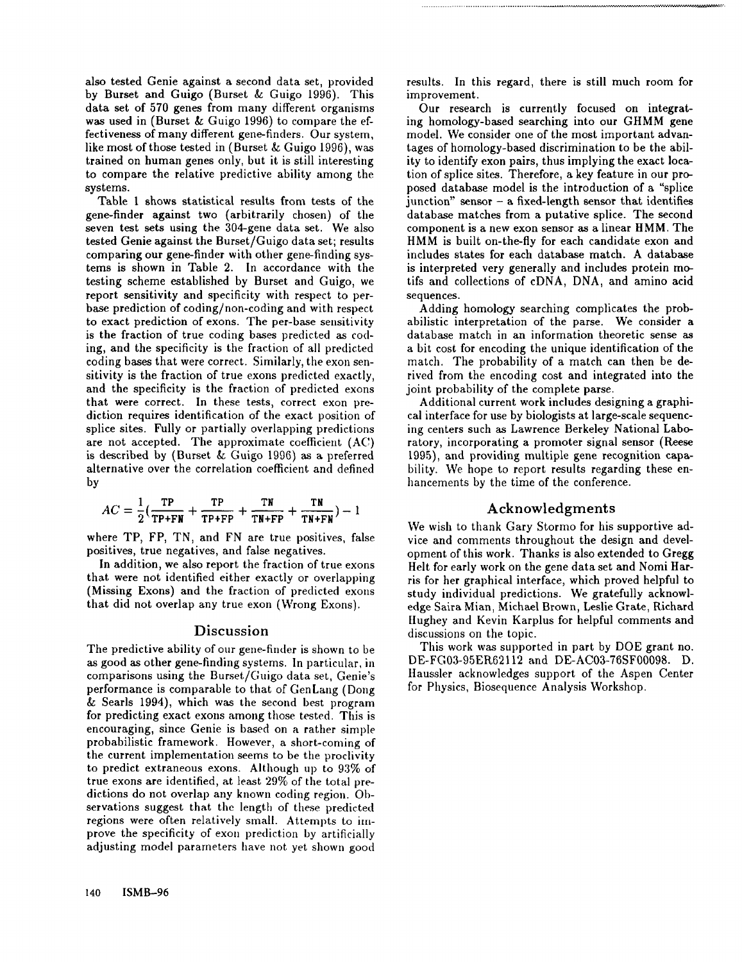also tested Genie against a second data set, provided by Burset and Guigo (Burset & Guigo 1996). This data set of 570 genes from many different organisms was used in (Burset  $\&$  Guigo 1996) to compare the effectiveness of many different gene-finders. Our system, like most of those tested in (Burset & Guigo 1996), was trained on human genes only, but it is still interesting to compare the relative predictive ability among the systems.

Table 1 shows statistical results from tests of the gene-finder against two (arbitrarily chosen) of the seven test sets using the 304-gene data set. We also tested Genie against the Burset/Guigo data set; results comparing our gene-finder with other gene-finding systems is shown in Table 2. In accordance with the testing scheme established by Burset and Guigo, we report sensitivity and specificity with respect to perbase prediction of coding/non-coding and with respect to exact prediction of exons. The per-base sensitivity is the fraction of true coding bases predicted as coding, and the specificity is the fraction of all predicted coding bases that were correct. Similarly, the exon sensitivity is the fraction of true exons predicted exactly, and the specificity is the fraction of predicted exons that were correct. In these tests, correct exon prediction requires identification of the exact position of splice sites. Fully or partially overlapping predictions are not accepted. The approximate coefficient (AC) is described by (Burset & Guigo 1996) as a preferred alternative over the correlation coefficient and defined by

$$
AC = \frac{1}{2}(\frac{\text{TP}}{\text{TP+FN}} + \frac{\text{TP}}{\text{TP+FP}} + \frac{\text{TN}}{\text{TN+FP}} + \frac{\text{TN}}{\text{TN+FN}}) - 1
$$

where TP, FP, TN, and FN are true positives, false positives, true negatives, and false negatives.

In addition, we also report the fraction of true exons that were not identified either exactly or overlapping (Missing Exons) and the fraction of predicted exons that did not overlap any true exon (Wrong Exons).

# Discussion

The predictive ability of our gene-fimler is shown to be as good as other gene-finding systems. In particular, in comparisons using the Burset/Guigo data set, Genie's performance is comparable to that of GenLang (Dong & Searls 1994), which was the second best program for predicting exact exons among those tested. This is encouraging, since Genie is based on a rather simple probabilistic framework. However, a short-coming of the current implementation seems to be the proclivity to predict extraneous exons. Although up to 93% of true exons are identified, at least 29% of the total predictions do not overlap any known coding region. Observations suggest that the length of these predicted regions were often relatively small. Attempts to improve the specificity of exon prediction by artificially adjusting model parameters have not yet shown good

results. In this regard, there is still much room for improvement.

Our research is currently focused on integrating homology-based searching into our GHMM gene model. We consider one of the most important advantages of homology-based discrimination to be the ability to identify exon pairs, thus implying the exact location of splice sites. Therefore, a key feature in our proposed database model is the introduction of a "splice  $\mu$  iunction" sensor – a fixed-length sensor that identifies database matches from a putative splice. The second component is a new exon sensor as a linear HMM. The HMM is built on-the-fly for each candidate exon and includes states for each database match. A database is interpreted very generally and includes protein motifs and collections of cDNA, DNA, and amino acid sequences.

Adding homology searching complicates the probabilistic interpretation of the parse. We consider a database match in an information theoretic sense as a bit cost for encoding the unique identification of the match. The probability of a match can then be derived from the encoding cost and integrated into the joint probability of the complete parse.

Additional current work includes designing a graphical interface for use by biologists at large-scale sequencing centers such as Lawrence Berkeley National Laboratory, incorporating a promoter signal sensor (Reese 1995), and providing multiple gene recognition capability. We hope to report results regarding these enhancements by the time of the conference.

## Acknowledgments

We wish to thank Gary Stormo for his supportive advice and comments throughout the design and development of this work. Thanks is also extended to Gregg Helt for early work on the gene data set and Nomi Harris for her graphical interface, which proved helpful to study individual predictions. We gratefully acknowledge Saira Mian, Michael Brown, Leslie Grate, Richard llughey and Kevin Karplus for helpful comments and discussions on the topic.

This work was supported in part by DOE grant no. DE-FG03-95ER62112 and DE-AC03-76SF00098. D. Haussler acknowledges support of the Aspen Center for Physics, Biosequence Analysis Workshop.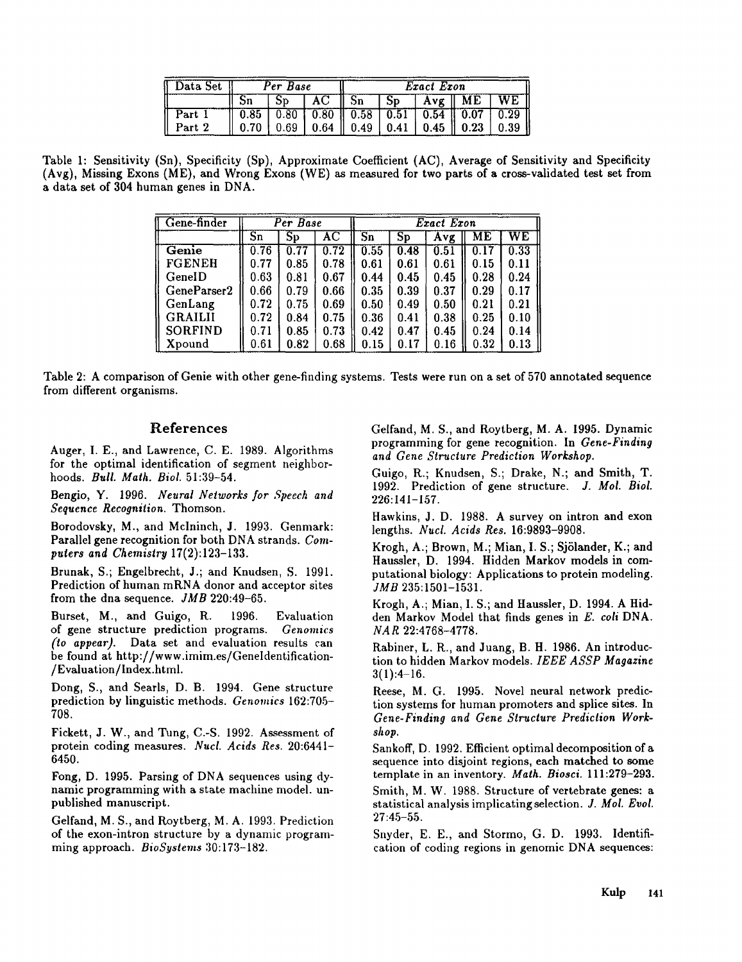| Data Set | Per Base |  |                                             | Exact Exon |  |  |                                                           |      |  |
|----------|----------|--|---------------------------------------------|------------|--|--|-----------------------------------------------------------|------|--|
|          |          |  | I AC -                                      | -Sn        |  |  | $Sp \mid Avg \mid ME \mid WE$                             |      |  |
| Part 1   |          |  |                                             |            |  |  | $0.85$   0.80   0.80    0.58   0.51   0.54    0.07   0.29 |      |  |
| Part 2   |          |  | $0.69$   0.64    0.49   0.41   0.45    0.23 |            |  |  |                                                           | 0.39 |  |

Table 1: Sensitivity (Sn), Specificity (Sp), Approximate Coefficient (AC), Average of Sensitivity and Specificity (Avg), Missing Exons (ME), and Wrong Exons (WE) as measured for two parts of a cross-validated test set a data set of 304 human genes in DNA.

| Gene-finder    |                                   | Per Base               |                     | Exact Exon             |      |      |      |                        |  |
|----------------|-----------------------------------|------------------------|---------------------|------------------------|------|------|------|------------------------|--|
|                | $\overline{\mathbf{S}\mathbf{n}}$ | $\overline{\text{Sp}}$ | $\overline{\rm AC}$ | $\overline{\text{Sn}}$ | Sp   | Avg  | MЕ   | $\overline{\text{WE}}$ |  |
| Genie          | 0.76                              | 0.77                   | 0.72                | 0.55                   | 0.48 | 0.51 | 0.17 | 0.33                   |  |
| <b>FGENEH</b>  | 0.77                              | 0.85                   | 0.78                | 0.61                   | 0.61 | 0.61 | 0.15 | 0.11                   |  |
| GenelD         | 0.63                              | 0.81                   | 0.67                | 0.44                   | 0.45 | 0.45 | 0.28 | 0.24                   |  |
| GeneParser2    | 0.66                              | 0.79                   | 0.66                | 0.35                   | 0.39 | 0.37 | 0.29 | 0.17                   |  |
| GenLang        | 0.72                              | 0.75                   | 0.69                | 0.50                   | 0.49 | 0.50 | 0.21 | 0.21                   |  |
| <b>GRAILII</b> | 0.72                              | 0.84                   | 0.75                | 0.36                   | 0.41 | 0.38 | 0.25 | 0.10                   |  |
| <b>SORFIND</b> | 0.71                              | 0.85                   | 0.73                | 0.42                   | 0.47 | 0.45 | 0.24 | 0.14                   |  |
| Xpound         | 0.61                              | 0.82                   | 0.68                | 0.15                   | 0.17 | 0.16 | 0.32 | 0.13                   |  |

Table 2: A comparison of Genie with other gene-finding systems. Tests were run on a set of 570 annotated sequence from different organisms.

# References

Auger, I. E., and Lawrence, C. E. 1989. Algorithms for the optimal identification of segment neighborhoods. *Bull. Math. Biol.* 51:39-54.

Bengio, Y. 1996. *Neural Networks for Speech and Sequence Recognition.* Thomson.

Borodovsky, M., and Mclninch, J. 1993. Genmark: Parallel gene recognition for both DNA strands. *Computers and Chemistry* 17(2):123-133.

Brunak, S.; Engelbreeht, J.; and Knudsen, S. 1991. Prediction of human mRNA donor and acceptor sites from the dna sequence. *JMB* 220:49-65.

Burset, M., and Guigo, R. 1996. Evaluation of gene structure prediction programs. *Genomics (to appear).* Data set and evaluation results can be found at http://www.imim.es/GeneIdentification- /Evaluation/Index.html.

Dong, S., and Searls, D. B. 1994. Gene structure prediction by linguistic methods. *Genomics* 162:705- 708.

Fickett, J. W., and Tung, C.-S. 1992. Assessment of protein coding measures. *Nucl. Acids Res.* 20:6441- 6450.

Fong, D. 1995. Parsing of DNA sequences using dynamic programming with a state machine model, unpublished manuscript.

Gelfand, M. S., and Roytberg, M. A. 1993. Prediction of the exon-intron structure by a dynamic programming approach. *BioSystems* 30:173-182.

Gelfand, M. S., and Roytberg, M. A. 1995. Dynamic programming for gene recognition. In *Gene-Finding and Gene Structure Prediction Workshop.*

Guigo, R.; Knudsen, S.; Drake, N.; and Smith, T. 1992. Prediction of gene structure. *J. Mol. Biol. 226:141-157.*

Hawkins, J. D. 1988. A survey on intron and exon lengths. *Nucl. Acids Res.* 16:9893-9908.

Krogh, A.; Brown, M.; Mian, I. S.; Sjölander, K.; and Haussler, D. 1994. Hidden Markov models in computational biology: Applications to protein modeling. *JMB* 235:1501-1531.

Krogh, A.; Mian, I. S.; and Haussler, D. 1994. A Hidden Markov Model that finds genes in *E. coli* DNA. *NA R* 22:4768-4778.

Rabiner, L. R., and Juang, B. H. 1986. An introduction to hidden Markov models. *IEEE ASSP Magazine*  $3(1):4-16.$ 

Reese, M. G. 1995. Novel neural network prediction systems for human promoters and splice sites. In *Gene-Finding and Gene Slructure Prediction Workshop.*

Sankoff, D. 1992. Efficient optimal decomposition of a sequence into disjoint regions, each matched to some template in an inventory. *Math. Biosci.* 111:279-293.

Smith, M. W. 1988. Structure of vertebrate genes: a statistical analysis implicating selection. *J. Moi. Evol.* 27:45-55.

Snyder, E. E., and Stormo, G. D. 1993. Identification of coding regions in genomic DNA sequences: